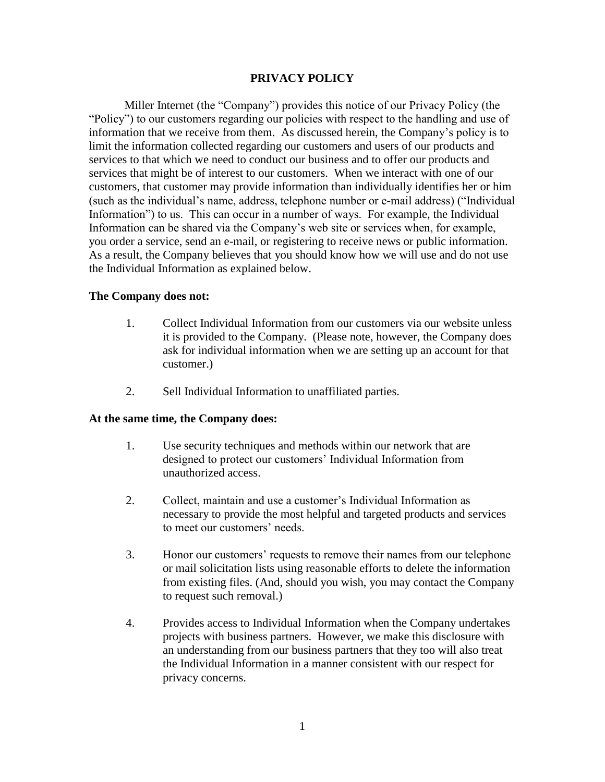# **PRIVACY POLICY**

Miller Internet (the "Company") provides this notice of our Privacy Policy (the "Policy") to our customers regarding our policies with respect to the handling and use of information that we receive from them. As discussed herein, the Company's policy is to limit the information collected regarding our customers and users of our products and services to that which we need to conduct our business and to offer our products and services that might be of interest to our customers. When we interact with one of our customers, that customer may provide information than individually identifies her or him (such as the individual's name, address, telephone number or e-mail address) ("Individual Information") to us. This can occur in a number of ways. For example, the Individual Information can be shared via the Company's web site or services when, for example, you order a service, send an e-mail, or registering to receive news or public information. As a result, the Company believes that you should know how we will use and do not use the Individual Information as explained below.

## **The Company does not:**

- 1. Collect Individual Information from our customers via our website unless it is provided to the Company. (Please note, however, the Company does ask for individual information when we are setting up an account for that customer.)
- 2. Sell Individual Information to unaffiliated parties.

### **At the same time, the Company does:**

- 1. Use security techniques and methods within our network that are designed to protect our customers' Individual Information from unauthorized access.
- 2. Collect, maintain and use a customer's Individual Information as necessary to provide the most helpful and targeted products and services to meet our customers' needs.
- 3. Honor our customers' requests to remove their names from our telephone or mail solicitation lists using reasonable efforts to delete the information from existing files. (And, should you wish, you may contact the Company to request such removal.)
- 4. Provides access to Individual Information when the Company undertakes projects with business partners. However, we make this disclosure with an understanding from our business partners that they too will also treat the Individual Information in a manner consistent with our respect for privacy concerns.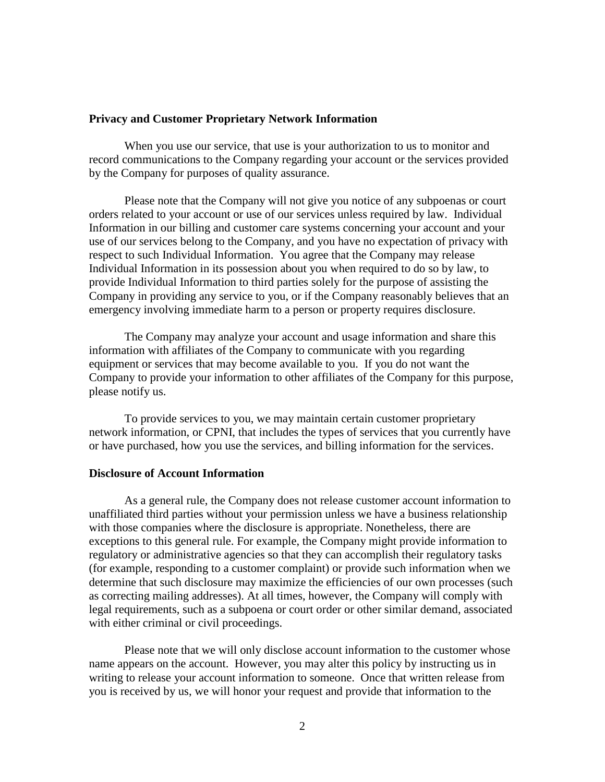### **Privacy and Customer Proprietary Network Information**

When you use our service, that use is your authorization to us to monitor and record communications to the Company regarding your account or the services provided by the Company for purposes of quality assurance.

Please note that the Company will not give you notice of any subpoenas or court orders related to your account or use of our services unless required by law. Individual Information in our billing and customer care systems concerning your account and your use of our services belong to the Company, and you have no expectation of privacy with respect to such Individual Information. You agree that the Company may release Individual Information in its possession about you when required to do so by law, to provide Individual Information to third parties solely for the purpose of assisting the Company in providing any service to you, or if the Company reasonably believes that an emergency involving immediate harm to a person or property requires disclosure.

The Company may analyze your account and usage information and share this information with affiliates of the Company to communicate with you regarding equipment or services that may become available to you. If you do not want the Company to provide your information to other affiliates of the Company for this purpose, please notify us.

To provide services to you, we may maintain certain customer proprietary network information, or CPNI, that includes the types of services that you currently have or have purchased, how you use the services, and billing information for the services.

# **Disclosure of Account Information**

As a general rule, the Company does not release customer account information to unaffiliated third parties without your permission unless we have a business relationship with those companies where the disclosure is appropriate. Nonetheless, there are exceptions to this general rule. For example, the Company might provide information to regulatory or administrative agencies so that they can accomplish their regulatory tasks (for example, responding to a customer complaint) or provide such information when we determine that such disclosure may maximize the efficiencies of our own processes (such as correcting mailing addresses). At all times, however, the Company will comply with legal requirements, such as a subpoena or court order or other similar demand, associated with either criminal or civil proceedings.

Please note that we will only disclose account information to the customer whose name appears on the account. However, you may alter this policy by instructing us in writing to release your account information to someone. Once that written release from you is received by us, we will honor your request and provide that information to the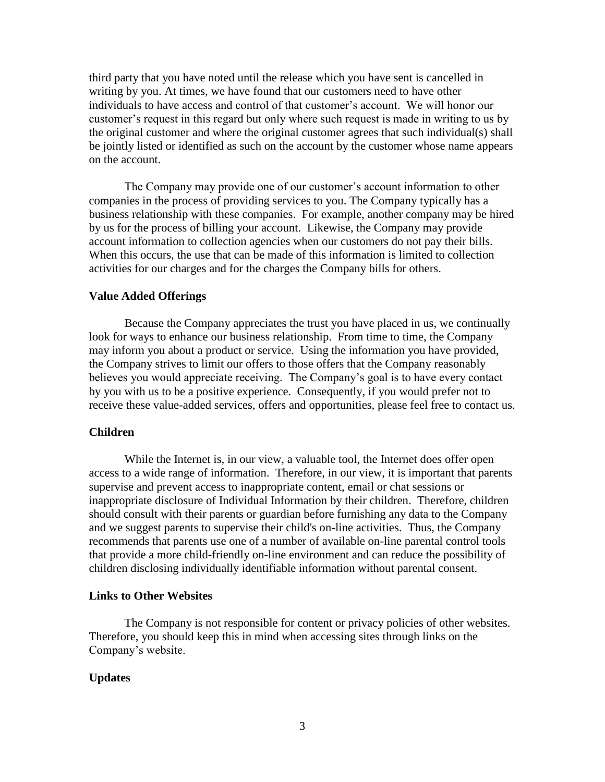third party that you have noted until the release which you have sent is cancelled in writing by you. At times, we have found that our customers need to have other individuals to have access and control of that customer's account. We will honor our customer's request in this regard but only where such request is made in writing to us by the original customer and where the original customer agrees that such individual(s) shall be jointly listed or identified as such on the account by the customer whose name appears on the account.

The Company may provide one of our customer's account information to other companies in the process of providing services to you. The Company typically has a business relationship with these companies. For example, another company may be hired by us for the process of billing your account. Likewise, the Company may provide account information to collection agencies when our customers do not pay their bills. When this occurs, the use that can be made of this information is limited to collection activities for our charges and for the charges the Company bills for others.

### **Value Added Offerings**

Because the Company appreciates the trust you have placed in us, we continually look for ways to enhance our business relationship. From time to time, the Company may inform you about a product or service. Using the information you have provided, the Company strives to limit our offers to those offers that the Company reasonably believes you would appreciate receiving. The Company's goal is to have every contact by you with us to be a positive experience. Consequently, if you would prefer not to receive these value-added services, offers and opportunities, please feel free to contact us.

### **Children**

While the Internet is, in our view, a valuable tool, the Internet does offer open access to a wide range of information. Therefore, in our view, it is important that parents supervise and prevent access to inappropriate content, email or chat sessions or inappropriate disclosure of Individual Information by their children. Therefore, children should consult with their parents or guardian before furnishing any data to the Company and we suggest parents to supervise their child's on-line activities. Thus, the Company recommends that parents use one of a number of available on-line parental control tools that provide a more child-friendly on-line environment and can reduce the possibility of children disclosing individually identifiable information without parental consent.

### **Links to Other Websites**

The Company is not responsible for content or privacy policies of other websites. Therefore, you should keep this in mind when accessing sites through links on the Company's website.

#### **Updates**